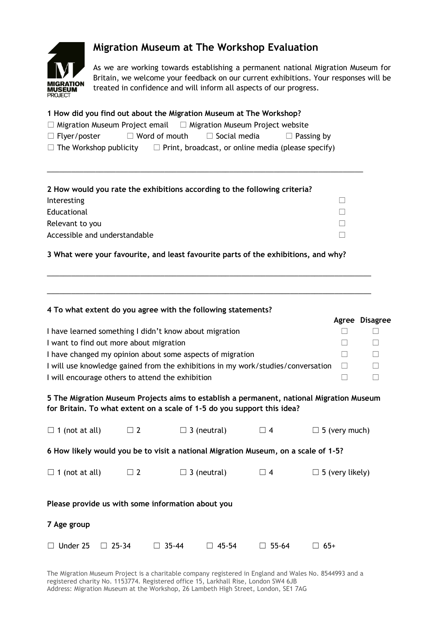

## **Migration Museum at The Workshop Evaluation**

As we are working towards establishing a permanent national Migration Museum for Britain, we welcome your feedback on our current exhibitions. Your responses will be treated in confidence and will inform all aspects of our progress.

| 1 How did you find out about the Migration Museum at The Workshop?<br>$\Box$ Migration Museum Project email $\Box$ Migration Museum Project website<br>$\Box$ Flyer/poster $\Box$ Word of mouth $\Box$ Social media<br>$\Box$ Passing by<br>$\Box$ The Workshop publicity $\Box$ Print, broadcast, or online media (please specify)                                     |          |                                                                                                                                                                     |          |                        |                       |  |  |  |  |
|-------------------------------------------------------------------------------------------------------------------------------------------------------------------------------------------------------------------------------------------------------------------------------------------------------------------------------------------------------------------------|----------|---------------------------------------------------------------------------------------------------------------------------------------------------------------------|----------|------------------------|-----------------------|--|--|--|--|
|                                                                                                                                                                                                                                                                                                                                                                         |          | 2 How would you rate the exhibitions according to the following criteria?                                                                                           |          |                        |                       |  |  |  |  |
| Interesting<br>$\Box$                                                                                                                                                                                                                                                                                                                                                   |          |                                                                                                                                                                     |          |                        |                       |  |  |  |  |
| Educational<br>П                                                                                                                                                                                                                                                                                                                                                        |          |                                                                                                                                                                     |          |                        |                       |  |  |  |  |
| П<br>Relevant to you                                                                                                                                                                                                                                                                                                                                                    |          |                                                                                                                                                                     |          |                        |                       |  |  |  |  |
| Accessible and understandable<br>П                                                                                                                                                                                                                                                                                                                                      |          |                                                                                                                                                                     |          |                        |                       |  |  |  |  |
|                                                                                                                                                                                                                                                                                                                                                                         |          | 3 What were your favourite, and least favourite parts of the exhibitions, and why?                                                                                  |          |                        |                       |  |  |  |  |
|                                                                                                                                                                                                                                                                                                                                                                         |          | 4 To what extent do you agree with the following statements?                                                                                                        |          |                        | <b>Agree Disagree</b> |  |  |  |  |
| I have learned something I didn't know about migration<br>ш<br>Ш<br>I want to find out more about migration<br>П<br>$\Box$<br>I have changed my opinion about some aspects of migration<br>$\Box$<br>$\Box$<br>I will use knowledge gained from the exhibitions in my work/studies/conversation<br>ш<br>Ш<br>I will encourage others to attend the exhibition<br>П<br>П |          |                                                                                                                                                                     |          |                        |                       |  |  |  |  |
|                                                                                                                                                                                                                                                                                                                                                                         |          | 5 The Migration Museum Projects aims to establish a permanent, national Migration Museum<br>for Britain. To what extent on a scale of 1-5 do you support this idea? |          |                        |                       |  |  |  |  |
| $\Box$ 1 (not at all)                                                                                                                                                                                                                                                                                                                                                   | $\Box$ 2 | $\Box$ 3 (neutral)                                                                                                                                                  | $\Box$ 4 | $\Box$ 5 (very much)   |                       |  |  |  |  |
| 6 How likely would you be to visit a national Migration Museum, on a scale of 1-5?                                                                                                                                                                                                                                                                                      |          |                                                                                                                                                                     |          |                        |                       |  |  |  |  |
| $\Box$ 1 (not at all)                                                                                                                                                                                                                                                                                                                                                   | $\Box$ 2 | $\Box$ 3 (neutral) $\Box$ 4                                                                                                                                         |          | $\Box$ 5 (very likely) |                       |  |  |  |  |
|                                                                                                                                                                                                                                                                                                                                                                         |          | Please provide us with some information about you                                                                                                                   |          |                        |                       |  |  |  |  |
| 7 Age group                                                                                                                                                                                                                                                                                                                                                             |          |                                                                                                                                                                     |          |                        |                       |  |  |  |  |

☐ Under 25 ☐ 25-34 ☐ 35-44 ☐ 45-54 ☐ 55-64 ☐ 65+

The Migration Museum Project is a charitable company registered in England and Wales No. 8544993 and a registered charity No. 1153774. Registered office 15, Larkhall Rise, London SW4 6JB Address: Migration Museum at the Workshop, 26 Lambeth High Street, London, SE1 7AG